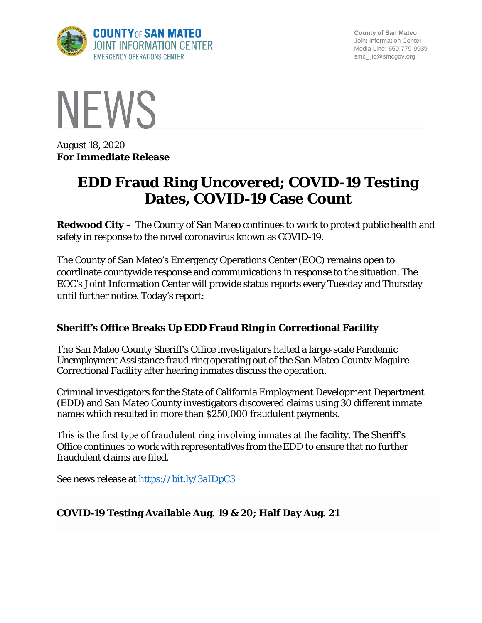

**County of San Mateo** Joint Information Center Media Line: 650-779-9939 smc\_ jic@smcgov.org



August 18, 2020 **For Immediate Release**

# **EDD Fraud Ring Uncovered; COVID-19 Testing Dates, COVID-19 Case Count**

**Redwood City –** The County of San Mateo continues to work to protect public health and safety in response to the novel coronavirus known as COVID-19.

The County of San Mateo's Emergency Operations Center (EOC) remains open to coordinate countywide response and communications in response to the situation. The EOC's Joint Information Center will provide status reports every Tuesday and Thursday until further notice. Today's report:

### **Sheriff's Office Breaks Up EDD Fraud Ring in Correctional Facility**

The San Mateo County Sheriff's Office investigators halted a large-scale Pandemic Unemployment Assistance fraud ring operating out of the San Mateo County Maguire Correctional Facility after hearing inmates discuss the operation.

Criminal investigators for the State of California Employment Development Department (EDD) and San Mateo County investigators discovered claims using 30 different inmate names which resulted in more than \$250,000 fraudulent payments.

This is the first type of fraudulent ring involving inmates at the facility. The Sheriff's Office continues to work with representatives from the EDD to ensure that no further fraudulent claims are filed.

See news release at<https://bit.ly/3aIDpC3>

#### **COVID-19 Testing Available Aug. 19 & 20; Half Day Aug. 21**